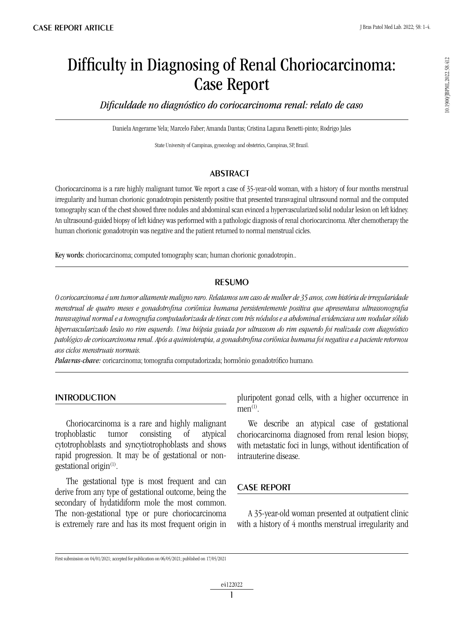# Difficulty in Diagnosing of Renal Choriocarcinoma: Case Report

*Dificuldade no diagnóstico do coriocarcinoma renal: relato de caso*

Daniela Angerame Yela; Marcelo Faber; Amanda Dantas; Cristina Laguna Benetti-pinto; Rodrigo Jales

State University of Campinas, gynecology and obstetrics, Campinas, SP, Brazil.

# **ABSTRACT**

Choriocarcinoma is a rare highly malignant tumor. We report a case of 35-year-old woman, with a history of four months menstrual irregularity and human chorionic gonadotropin persistently positive that presented transvaginal ultrasound normal and the computed tomography scan of the chest showed three nodules and abdominal scan evinced a hypervascularized solid nodular lesion on left kidney. An ultrasound-guided biopsy of left kidney was performed with a pathologic diagnosis of renal choriocarcinoma. After chemotherapy the human chorionic gonadotropin was negative and the patient returned to normal menstrual cicles.

Key words: choriocarcinoma; computed tomography scan; human chorionic gonadotropin..

# resumo

*O coriocarcinoma é um tumor altamente maligno raro. Relatamos um caso de mulher de 35 anos, com história de irregularidade menstrual de quatro meses e gonadotrofina coriônica humana persistentemente positiva que apresentava ultrassonografia transvaginal normal e a tomografia computadorizada de tórax com três nódulos e a abdominal evidenciava um nodular sólido hipervascularizado lesão no rim esquerdo. Uma biópsia guiada por ultrassom do rim esquerdo foi realizada com diagnóstico patológico de coriocarcinoma renal. Após a quimioterapia, a gonadotrofina coriônica humana foi negativa e a paciente retornou aos ciclos menstruais normais.*

*Palavras-chave:* coricarcinoma; tomografia computadorizada; hormônio gonadotrófico humano*.*

# INTRODUCTION

Choriocarcinoma is a rare and highly malignant trophoblastic tumor consisting of atypical cytotrophoblasts and syncytiotrophoblasts and shows rapid progression. It may be of gestational or nongestational origin $(1)$ .

The gestational type is most frequent and can derive from any type of gestational outcome, being the secondary of hydatidiform mole the most common. The non-gestational type or pure choriocarcinoma is extremely rare and has its most frequent origin in pluripotent gonad cells, with a higher occurrence in  $men<sup>(1)</sup>$ .

We describe an atypical case of gestational choriocarcinoma diagnosed from renal lesion biopsy, with metastatic foci in lungs, without identification of intrauterine disease.

# CASE REPORT

A 35-year-old woman presented at outpatient clinic with a history of 4 months menstrual irregularity and

First submission on 04/01/2021; accepted for publication on 06/05/2021; published on 17/05/2021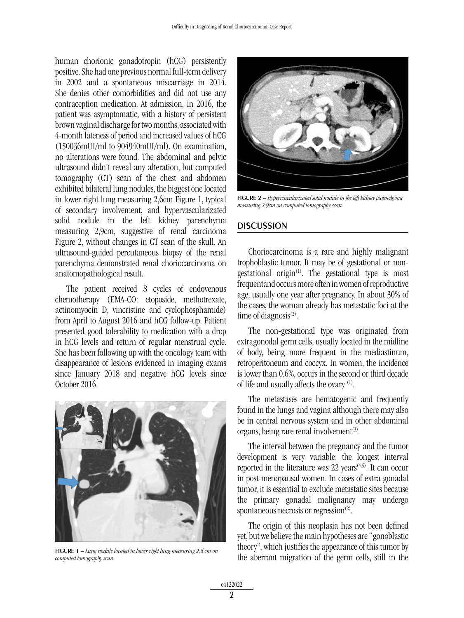human chorionic gonadotropin (hCG) persistently positive. She had one previous normal full-term delivery in 2002 and a spontaneous miscarriage in 2014. She denies other comorbidities and did not use any contraception medication. At admission, in 2016, the patient was asymptomatic, with a history of persistent brown vaginal discharge for two months, associated with 4-month lateness of period and increased values of hCG (150036mUI/ml to 904940mUI/ml). On examination, no alterations were found. The abdominal and pelvic ultrasound didn't reveal any alteration, but computed tomography (CT) scan of the chest and abdomen exhibited bilateral lung nodules, the biggest one located in lower right lung measuring 2,6cm Figure 1, typical of secondary involvement, and hypervascularizated solid nodule in the left kidney parenchyma measuring 2,9cm, suggestive of renal carcinoma Figure 2, without changes in CT scan of the skull. An ultrasound-guided percutaneous biopsy of the renal parenchyma demonstrated renal choriocarcinoma on anatomopathological result.

The patient received 8 cycles of endovenous chemotherapy (EMA-CO: etoposide, methotrexate, actinomyocin D, vincristine and cyclophosphamide) from April to August 2016 and hCG follow-up. Patient presented good tolerability to medication with a drop in hCG levels and return of regular menstrual cycle. She has been following up with the oncology team with disappearance of lesions evidenced in imaging exams since January 2018 and negative hCG levels since October 2016.



figure 1 – *Lung nodule located in lower right lung measuring 2,6 cm on computed tomography scan.*



figure 2 – *Hypervascularizated solid nodule in the left kidney parenchyma measuring 2,9cm on computed tomography scan.*

# **DISCUSSION**

Choriocarcinoma is a rare and highly malignant trophoblastic tumor. It may be of gestational or nongestational origin<sup> $(1)$ </sup>. The gestational type is most frequentand occurs more often in women of reproductive age, usually one year after pregnancy. In about 30% of the cases, the woman already has metastatic foci at the time of diagnosis $(2)$ .

The non-gestational type was originated from extragonodal germ cells, usually located in the midline of body, being more frequent in the mediastinum, retroperitoneum and coccyx. In women, the incidence is lower than 0.6%, occurs in the second or third decade of life and usually affects the ovary (1).

The metastases are hematogenic and frequently found in the lungs and vagina although there may also be in central nervous system and in other abdominal organs, being rare renal involvement<sup>(3)</sup>.

The interval between the pregnancy and the tumor development is very variable: the longest interval reported in the literature was 22 years<sup>(4,5)</sup>. It can occur in post-menopausal women. In cases of extra gonadal tumor, it is essential to exclude metastatic sites because the primary gonadal malignancy may undergo spontaneous necrosis or regression $(2)$ .

The origin of this neoplasia has not been defined yet, but we believe the main hypotheses are "gonoblastic theory", which justifies the appearance of this tumor by the aberrant migration of the germ cells, still in the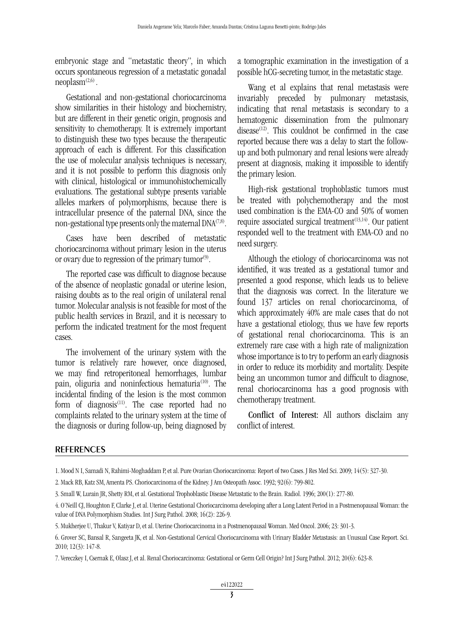embryonic stage and "metastatic theory", in which occurs spontaneous regression of a metastatic gonadal neoplasm $(2,6)$ .

Gestational and non-gestational choriocarcinoma show similarities in their histology and biochemistry, but are different in their genetic origin, prognosis and sensitivity to chemotherapy. It is extremely important to distinguish these two types because the therapeutic approach of each is different. For this classification the use of molecular analysis techniques is necessary, and it is not possible to perform this diagnosis only with clinical, histological or immunohistochemically evaluations. The gestational subtype presents variable alleles markers of polymorphisms, because there is intracellular presence of the paternal DNA, since the non-gestational type presents only the maternal  $DNA^{(7,8)}$ .

Cases have been described of metastatic choriocarcinoma without primary lesion in the uterus or ovary due to regression of the primary tumor $\mathfrak{S}^9$ .

The reported case was difficult to diagnose because of the absence of neoplastic gonadal or uterine lesion, raising doubts as to the real origin of unilateral renal tumor. Molecular analysis is not feasible for most of the public health services in Brazil, and it is necessary to perform the indicated treatment for the most frequent cases.

The involvement of the urinary system with the tumor is relatively rare however, once diagnosed, we may find retroperitoneal hemorrhages, lumbar pain, oliguria and noninfectious hematuria<sup>(10)</sup>. The incidental finding of the lesion is the most common form of diagnosis $(11)$ . The case reported had no complaints related to the urinary system at the time of the diagnosis or during follow-up, being diagnosed by

a tomographic examination in the investigation of a possible hCG-secreting tumor, in the metastatic stage.

Wang et al explains that renal metastasis were invariably preceded by pulmonary metastasis, indicating that renal metastasis is secondary to a hematogenic dissemination from the pulmonary disease<sup> $(12)$ </sup>. This couldnot be confirmed in the case reported because there was a delay to start the followup and both pulmonary and renal lesions were already present at diagnosis, making it impossible to identify the primary lesion.

High-risk gestational trophoblastic tumors must be treated with polychemotherapy and the most used combination is the EMA-CO and 50% of women require associated surgical treatment<sup> $(13,14)$ </sup>. Our patient responded well to the treatment with EMA-CO and no need surgery.

Although the etiology of choriocarcinoma was not identified, it was treated as a gestational tumor and presented a good response, which leads us to believe that the diagnosis was correct. In the literature we found 137 articles on renal choriocarcinoma, of which approximately 40% are male cases that do not have a gestational etiology, thus we have few reports of gestational renal choriocarcinoma. This is an extremely rare case with a high rate of malignization whose importance is to try to perform an early diagnosis in order to reduce its morbidity and mortality. Despite being an uncommon tumor and difficult to diagnose, renal choriocarcinoma has a good prognosis with chemotherapy treatment.

Conflict of Interest: All authors disclaim any conflict of interest.

### **REFERENCES**

- 2. Mack RB, Katz SM, Amenta PS. Choriocarcinoma of the Kidney. J Am Osteopath Assoc. 1992; 92(6): 799-802.
- 3. Small W, Lurain JR, Shetty RM, et al. Gestational Trophoblastic Disease Metastatic to the Brain. Radiol. 1996; 200(1): 277-80.

<sup>1.</sup> Mood N I, Samadi N, Rahimi-Moghaddam P, et al. Pure Ovarian Choriocarcinoma: Report of two Cases. J Res Med Sci. 2009; 14(5): 327-30.

<sup>4.</sup> O'Neill CJ, Houghton F, Clarke J, et al. Uterine Gestational Choriocarcinoma developing after a Long Latent Period in a Postmenopausal Woman: the value of DNA Polymorphism Studies. Int J Surg Pathol. 2008; 16(2): 226-9.

<sup>5.</sup> Mukherjee U, Thakur V, Katiyar D, et al. Uterine Choriocarcinoma in a Postmenopausal Woman. Med Oncol. 2006; 23: 301-3.

<sup>6.</sup> Grover SC, Bansal R, Sangeeta JK, et al. Non-Gestational Cervical Choriocarcinoma with Urinary Bladder Metastasis: an Unusual Case Report. Sci. 2010; 12(3): 147-8.

<sup>7.</sup> Vereczkey I, Csernak E, Olasz J, et al. Renal Choriocarcinoma: Gestational or Germ Cell Origin? Int J Surg Pathol. 2012; 20(6): 623-8.